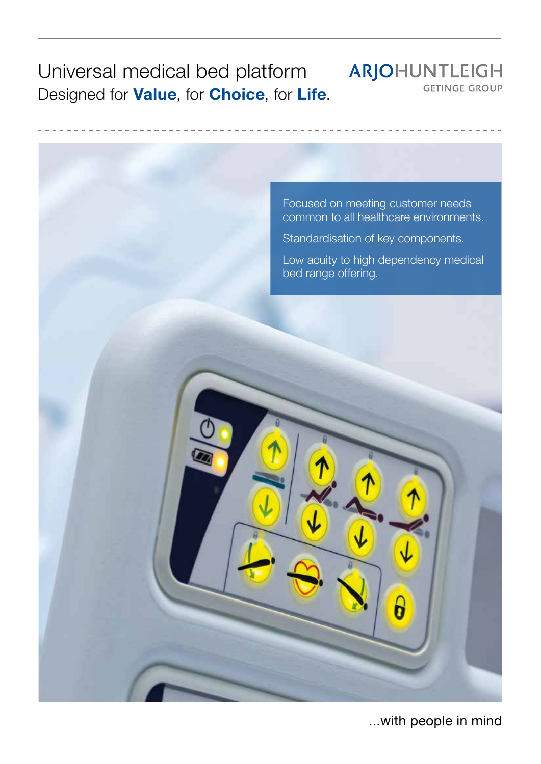Universal medical bed platform ARJOHUNTLEIGH **GETINGE GROUP** Designed for **Value**, for **Choice**, for **Life.** 



...with people in mind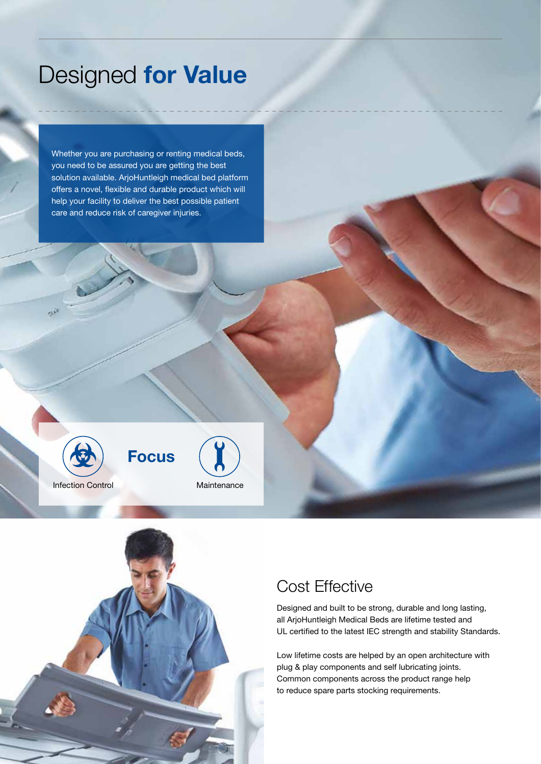# Designed for Value

Whether you are purchasing or renting medical beds, you need to be assured you are getting the best solution available. ArjoHuntleigh medical bed platform offers a novel, flexible and durable product which will help your facility to deliver the best possible patient care and reduce risk of caregiver injuries.



**Focus** 



### Cost Effective

Designed and built to be strong, durable and long lasting, all ArjoHuntleigh Medical Beds are lifetime tested and UL certified to the latest IEC strength and stability Standards.

Low lifetime costs are helped by an open architecture with plug & play components and self lubricating joints. Common components across the product range help to reduce spare parts stocking requirements.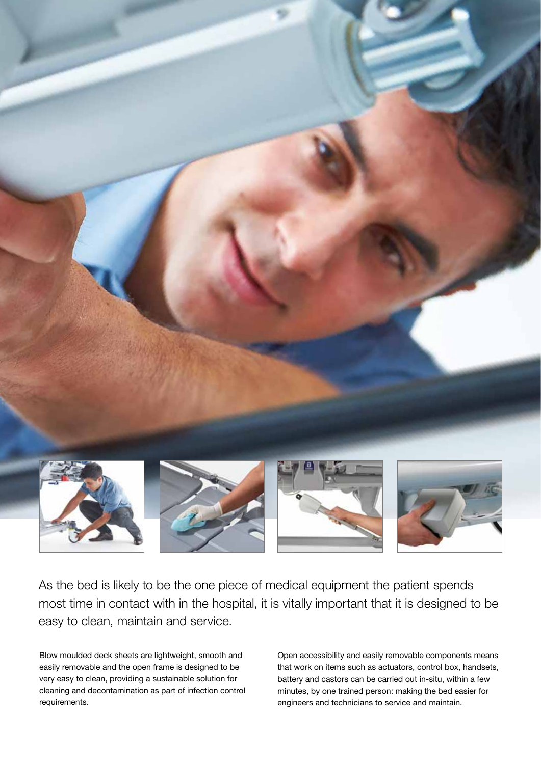

As the bed is likely to be the one piece of medical equipment the patient spends most time in contact with in the hospital, it is vitally important that it is designed to be easy to clean, maintain and service.

Blow moulded deck sheets are lightweight, smooth and easily removable and the open frame is designed to be very easy to clean, providing a sustainable solution for cleaning and decontamination as part of infection control requirements.

Open accessibility and easily removable components means that work on items such as actuators, control box, handsets, battery and castors can be carried out in-situ, within a few minutes, by one trained person: making the bed easier for engineers and technicians to service and maintain.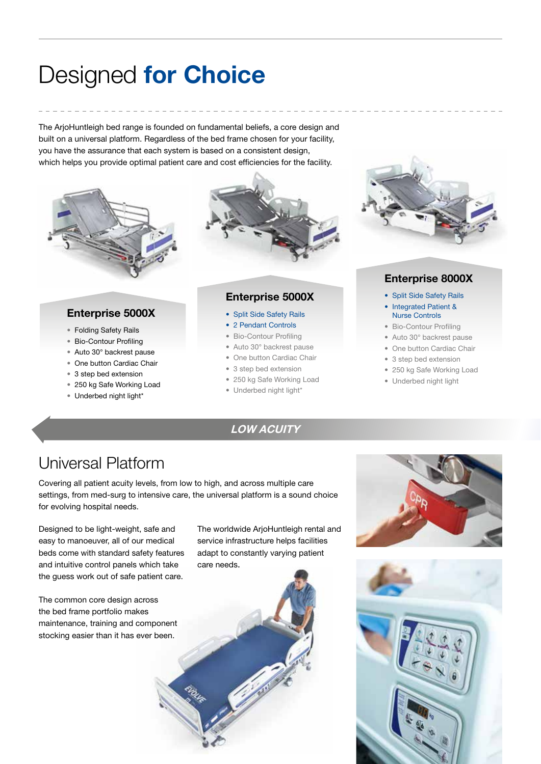# Designed for Choice

The ArjoHuntleigh bed range is founded on fundamental beliefs, a core design and built on a universal platform. Regardless of the bed frame chosen for your facility, you have the assurance that each system is based on a consistent design, which helps you provide optimal patient care and cost efficiencies for the facility.



#### Enterprise 5000X

- Folding Safety Rails
- Bio-Contour Profiling
- Auto 30° backrest pause
- One button Cardiac Chair
- 3 step bed extension
- 250 kg Safe Working Load
- Underbed night light\*



#### Enterprise 5000X

- Split Side Safety Rails
- 2 Pendant Controls
- Bio-Contour Profiling
- Auto 30° backrest pause
- One button Cardiac Chair
- 3 step bed extension
- 250 kg Safe Working Load
- Underbed night light\*

LOW ACUITY



#### Enterprise 8000X

- Split Side Safety Rails
- Integrated Patient & Nurse Controls
- Bio-Contour Profiling
- Auto 30° backrest pause
- One button Cardiac Chair
- 3 step bed extension
- 250 kg Safe Working Load
- Underbed night light

## Universal Platform

Covering all patient acuity levels, from low to high, and across multiple care settings, from med-surg to intensive care, the universal platform is a sound choice for evolving hospital needs.

Designed to be light-weight, safe and easy to manoeuver, all of our medical beds come with standard safety features and intuitive control panels which take the guess work out of safe patient care.

The common core design across the bed frame portfolio makes maintenance, training and component stocking easier than it has ever been.

The worldwide ArjoHuntleigh rental and service infrastructure helps facilities adapt to constantly varying patient care needs.





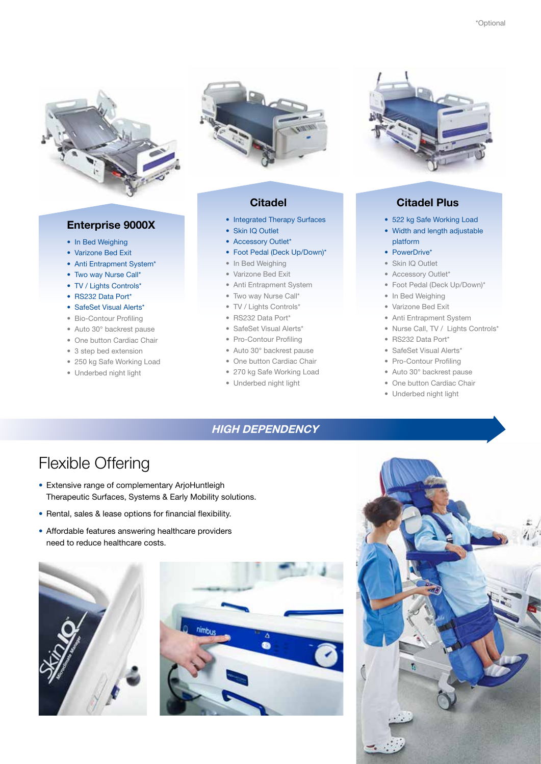

#### Enterprise 9000X

- In Bed Weighing
- Varizone Bed Exit
- Anti Entrapment System\*
- Two way Nurse Call\*
- TV / Lights Controls\*
- RS232 Data Port\*
- SafeSet Visual Alerts\*
- Bio-Contour Profiling
- Auto 30° backrest pause
- One button Cardiac Chair
- 3 step bed extension
- 250 kg Safe Working Load
- Underbed night light



#### **Citadel**

- Integrated Therapy Surfaces
- Skin IQ Outlet
- Accessory Outlet\*
- Foot Pedal (Deck Up/Down)\*
- In Bed Weighing
- Varizone Bed Exit
- Anti Entrapment System
- Two way Nurse Call\*
- TV / Lights Controls\*
- RS232 Data Port\*
- SafeSet Visual Alerts\*
- Pro-Contour Profiling
- Auto 30° backrest pause
- One button Cardiac Chair
- 270 kg Safe Working Load
- Underbed night light



#### Citadel Plus

- 522 kg Safe Working Load
- Width and length adjustable platform
- PowerDrive\*
- Skin IQ Outlet
- Accessory Outlet\*
- Foot Pedal (Deck Up/Down)\*
- In Bed Weighing
- Varizone Bed Exit
- Anti Entrapment System
- Nurse Call, TV / Lights Controls\*
- RS232 Data Port\*
- SafeSet Visual Alerts\*
- Pro-Contour Profiling
- Auto 30° backrest pause
- One button Cardiac Chair
- Underbed night light

### HIGH DEPENDENCY

### Flexible Offering

- Extensive range of complementary ArjoHuntleigh Therapeutic Surfaces, Systems & Early Mobility solutions.
- Rental, sales & lease options for financial flexibility.
- Affordable features answering healthcare providers need to reduce healthcare costs.





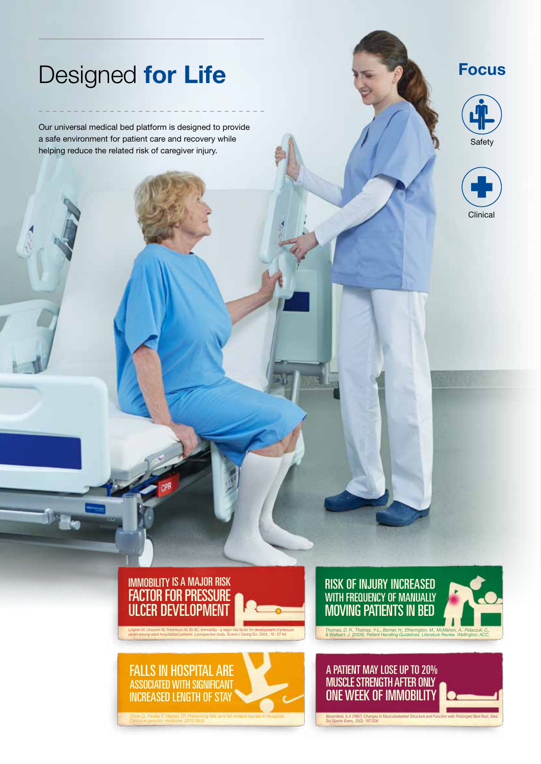# Designed for Life

Our universal medical bed platform is designed to provide a safe environment for patient care and recovery while helping reduce the related risk of caregiver injury.



#### Focus







*ulcers among adult hospitalized patients: a prospective study. Scand J Caring Sci. 2004 ; 18 : 57-64.*





A PATIENT MAY LOSE UP TO 20% MUSCLE STRENGTH AFTER ONLY ONE WEEK OF IMMOBILITY

*Bloomfield, S.A (1997). Changes in Musculoskeletal Structure and Function with Prolonged Bed Rest, Med Sci Sports Exerc, 29(2): 197-206*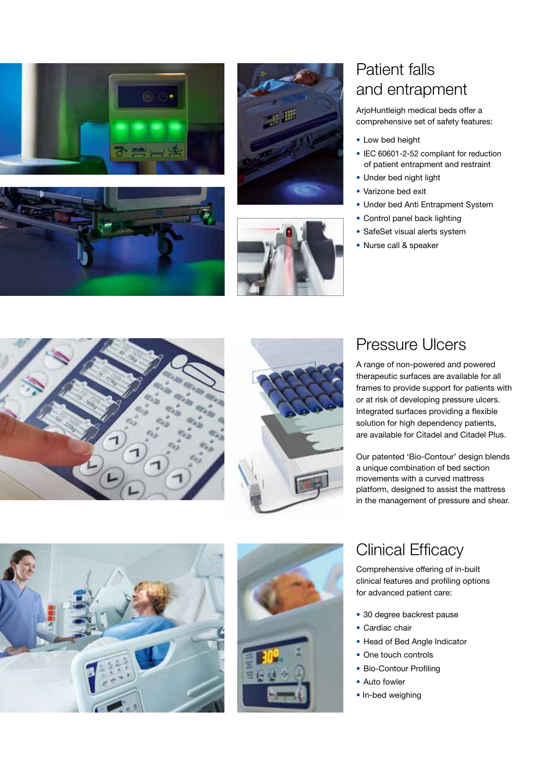







## Patient falls and entrapment

ArjoHuntleigh medical beds offer a comprehensive set of safety features:

- Low bed height
- IEC 60601-2-52 compliant for reduction of patient entrapment and restraint
- Under bed night light
- Varizone bed exit
- Under bed Anti Entrapment System
- Control panel back lighting
- SafeSet visual alerts system
- Nurse call & speaker





### Pressure Ulcers

A range of non-powered and powered therapeutic surfaces are available for all frames to provide support for patients with or at risk of developing pressure ulcers. Integrated surfaces providing a flexible solution for high dependency patients, are available for Citadel and Citadel Plus.

Our patented 'Bio-Contour' design blends a unique combination of bed section movements with a curved mattress platform, designed to assist the mattress in the management of pressure and shear.





### Clinical Efficacy

Comprehensive offering of in-built clinical features and profiling options for advanced patient care:

- 30 degree backrest pause
- Cardiac chair
- Head of Bed Angle Indicator
- One touch controls
- Bio-Contour Profiling
- Auto fowler
- In-bed weighing